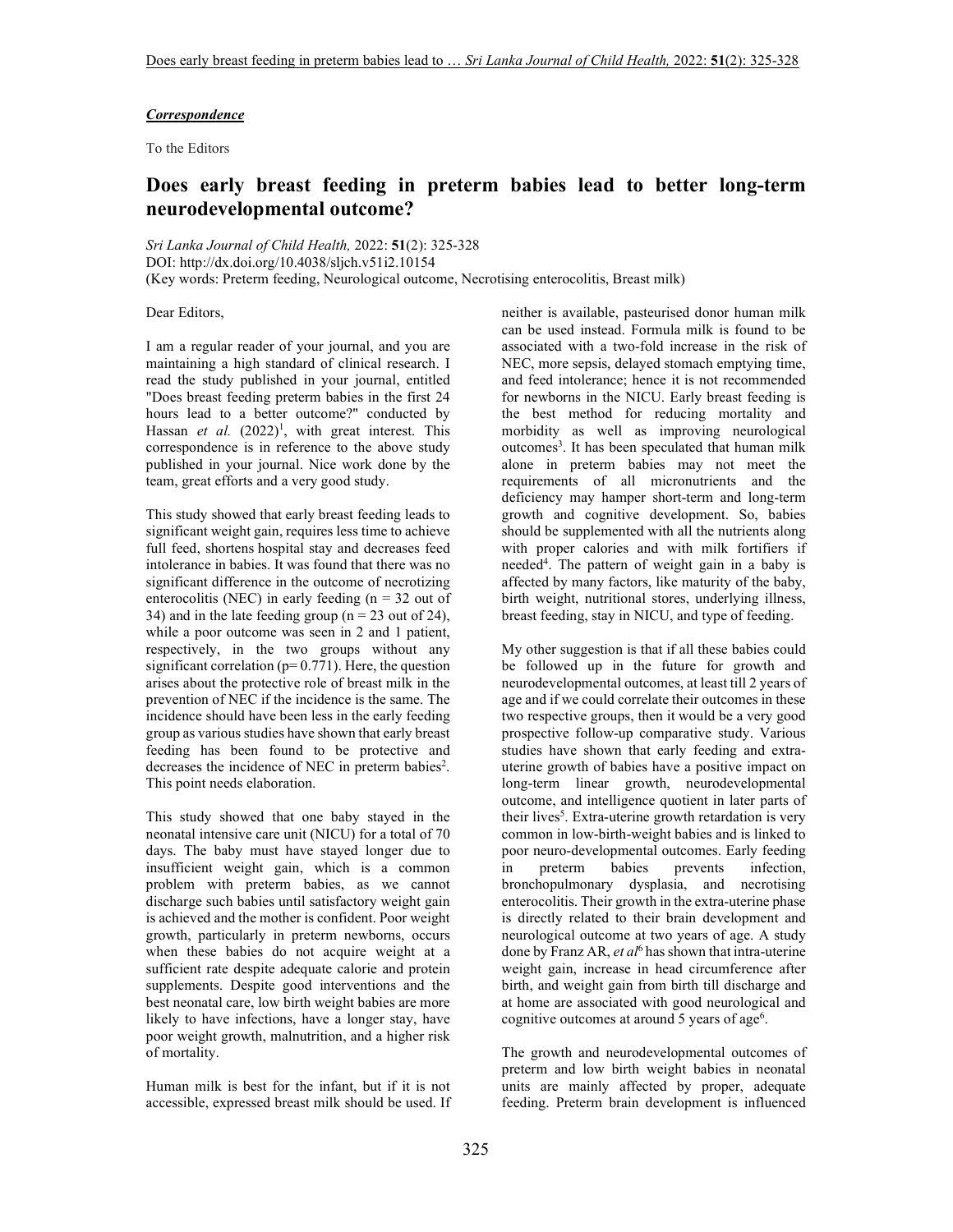#### *Correspondence*

To the Editors

# **Does early breast feeding in preterm babies lead to better long-term neurodevelopmental outcome?**

*Sri Lanka Journal of Child Health,* 2022: **51**(2): 325-328 DOI: http://dx.doi.org/10.4038/sljch.v51i2.10154 (Key words: Preterm feeding, Neurological outcome, Necrotising enterocolitis, Breast milk)

Dear Editors,

I am a regular reader of your journal, and you are maintaining a high standard of clinical research. I read the study published in your journal, entitled "Does breast feeding preterm babies in the first 24 hours lead to a better outcome?" conducted by Hassan *et al.* (2022)<sup>1</sup>, with great interest. This correspondence is in reference to the above study published in your journal. Nice work done by the team, great efforts and a very good study.

This study showed that early breast feeding leads to significant weight gain, requires less time to achieve full feed, shortens hospital stay and decreases feed intolerance in babies. It was found that there was no significant difference in the outcome of necrotizing enterocolitis (NEC) in early feeding  $(n = 32$  out of 34) and in the late feeding group ( $n = 23$  out of 24), while a poor outcome was seen in 2 and 1 patient, respectively, in the two groups without any significant correlation ( $p= 0.771$ ). Here, the question arises about the protective role of breast milk in the prevention of NEC if the incidence is the same. The incidence should have been less in the early feeding group as various studies have shown that early breast feeding has been found to be protective and decreases the incidence of NEC in preterm babies<sup>2</sup>. This point needs elaboration.

This study showed that one baby stayed in the neonatal intensive care unit (NICU) for a total of 70 days. The baby must have stayed longer due to insufficient weight gain, which is a common problem with preterm babies, as we cannot discharge such babies until satisfactory weight gain is achieved and the mother is confident. Poor weight growth, particularly in preterm newborns, occurs when these babies do not acquire weight at a sufficient rate despite adequate calorie and protein supplements. Despite good interventions and the best neonatal care, low birth weight babies are more likely to have infections, have a longer stay, have poor weight growth, malnutrition, and a higher risk of mortality.

Human milk is best for the infant, but if it is not accessible, expressed breast milk should be used. If neither is available, pasteurised donor human milk can be used instead. Formula milk is found to be associated with a two-fold increase in the risk of NEC, more sepsis, delayed stomach emptying time, and feed intolerance; hence it is not recommended for newborns in the NICU. Early breast feeding is the best method for reducing mortality and morbidity as well as improving neurological outcomes<sup>3</sup>. It has been speculated that human milk alone in preterm babies may not meet the requirements of all micronutrients and the deficiency may hamper short-term and long-term growth and cognitive development. So, babies should be supplemented with all the nutrients along with proper calories and with milk fortifiers if needed<sup>4</sup>. The pattern of weight gain in a baby is affected by many factors, like maturity of the baby, birth weight, nutritional stores, underlying illness, breast feeding, stay in NICU, and type of feeding.

My other suggestion is that if all these babies could be followed up in the future for growth and neurodevelopmental outcomes, at least till 2 years of age and if we could correlate their outcomes in these two respective groups, then it would be a very good prospective follow-up comparative study. Various studies have shown that early feeding and extrauterine growth of babies have a positive impact on long-term linear growth, neurodevelopmental outcome, and intelligence quotient in later parts of their lives<sup>5</sup>. Extra-uterine growth retardation is very common in low-birth-weight babies and is linked to poor neuro-developmental outcomes. Early feeding in preterm babies prevents infection, bronchopulmonary dysplasia, and necrotising enterocolitis. Their growth in the extra-uterine phase is directly related to their brain development and neurological outcome at two years of age. A study done by Franz AR, et al<sup>6</sup> has shown that intra-uterine weight gain, increase in head circumference after birth, and weight gain from birth till discharge and at home are associated with good neurological and cognitive outcomes at around 5 years of age<sup>6</sup>.

The growth and neurodevelopmental outcomes of preterm and low birth weight babies in neonatal units are mainly affected by proper, adequate feeding. Preterm brain development is influenced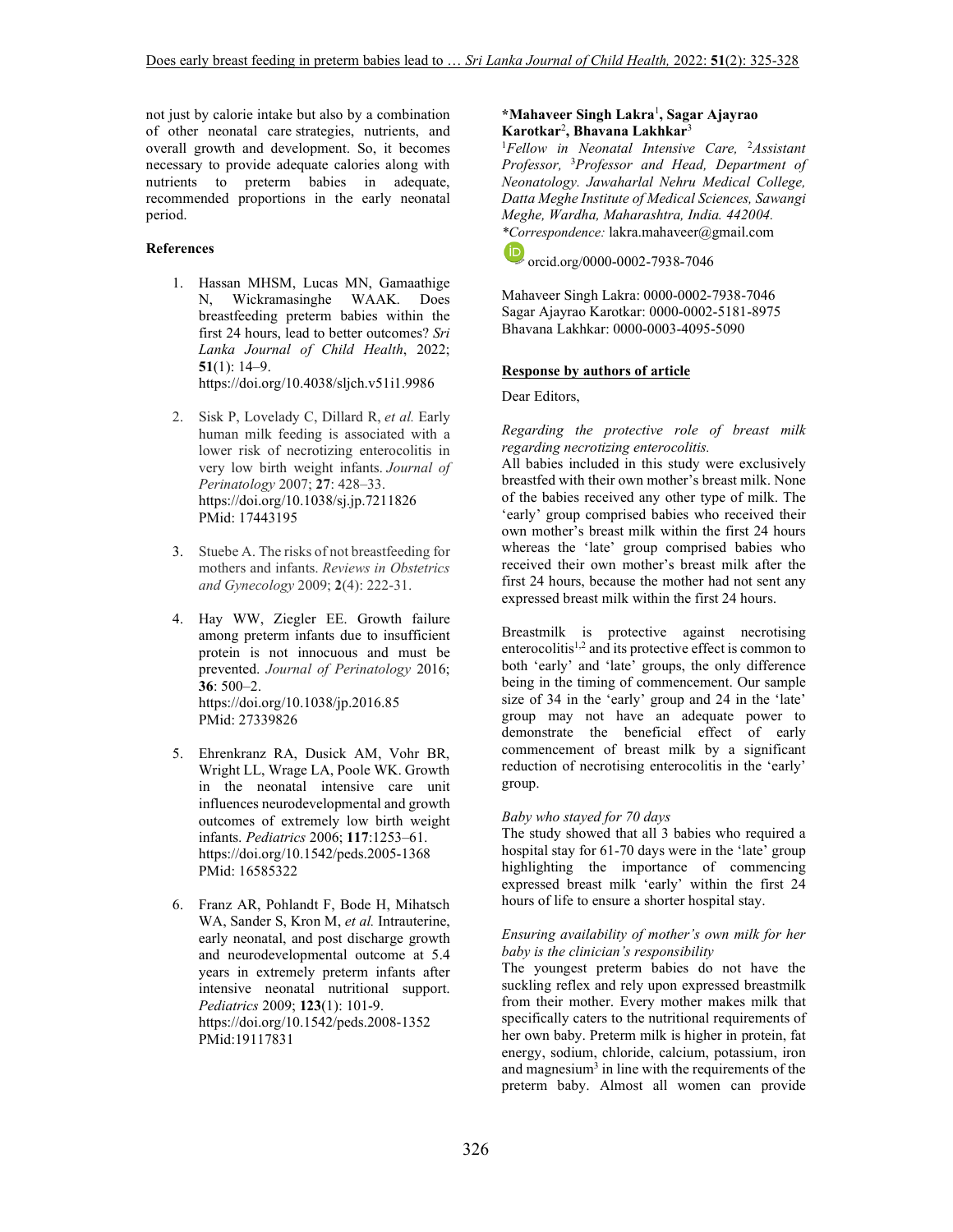not just by calorie intake but also by a combination of other neonatal care strategies, nutrients, and overall growth and development. So, it becomes necessary to provide adequate calories along with nutrients to preterm babies in adequate, recommended proportions in the early neonatal period.

#### **References**

- 1. Hassan MHSM, Lucas MN, Gamaathige N, Wickramasinghe WAAK. Does breastfeeding preterm babies within the first 24 hours, lead to better outcomes? *Sri Lanka Journal of Child Health*, 2022; **51**(1): 14–9. https://doi.org/10.4038/sljch.v51i1.9986
- 2. Sisk P, Lovelady C, Dillard R, *et al.* Early human milk feeding is associated with a lower risk of necrotizing enterocolitis in very low birth weight infants. *Journal of Perinatology* 2007; **27**: 428–33. https://doi.org/10.1038/sj.jp.7211826 PMid: 17443195
- 3. Stuebe A. The risks of not breastfeeding for mothers and infants. *Reviews in Obstetrics and Gynecology* 2009; **2**(4): 222-31.
- 4. Hay WW, Ziegler EE. Growth failure among preterm infants due to insufficient protein is not innocuous and must be prevented. *Journal of Perinatology* 2016; **36**: 500–2. https://doi.org/10.1038/jp.2016.85 PMid: 27339826
- 5. Ehrenkranz RA, Dusick AM, Vohr BR, Wright LL, Wrage LA, Poole WK. Growth in the neonatal intensive care unit influences neurodevelopmental and growth outcomes of extremely low birth weight infants. *Pediatrics* 2006; **117**:1253–61. https://doi.org/10.1542/peds.2005-1368 PMid: 16585322
- 6. Franz AR, Pohlandt F, Bode H, Mihatsch WA, Sander S, Kron M, *et al.* Intrauterine, early neonatal, and post discharge growth and neurodevelopmental outcome at 5.4 years in extremely preterm infants after intensive neonatal nutritional support. *Pediatrics* 2009; **123**(1): 101-9. https://doi.org/10.1542/peds.2008-1352 PMid:19117831

#### **\*Mahaveer Singh Lakra**<sup>1</sup> **, Sagar Ajayrao Karotkar**<sup>2</sup> **, Bhavana Lakhkar**<sup>3</sup>

<sup>1</sup>*Fellow in Neonatal Intensive Care,* <sup>2</sup>*Assistant Professor,* <sup>3</sup>*Professor and Head, Department of Neonatology. Jawaharlal Nehru Medical College, Datta Meghe Institute of Medical Sciences, Sawangi Meghe, Wardha, Maharashtra, India. 442004. \*Correspondence:* lakra.mahaveer@gmail.com

orcid.org/0000-0002-7938-7046

Mahaveer Singh Lakra: 0000-0002-7938-7046 Sagar Ajayrao Karotkar: 0000-0002-5181-8975 Bhavana Lakhkar: 0000-0003-4095-5090

#### **Response by authors of article**

Dear Editors,

*Regarding the protective role of breast milk regarding necrotizing enterocolitis.* 

All babies included in this study were exclusively breastfed with their own mother's breast milk. None of the babies received any other type of milk. The 'early' group comprised babies who received their own mother's breast milk within the first 24 hours whereas the 'late' group comprised babies who received their own mother's breast milk after the first 24 hours, because the mother had not sent any expressed breast milk within the first 24 hours.

Breastmilk is protective against necrotising enterocolitis<sup>1,2</sup> and its protective effect is common to both 'early' and 'late' groups, the only difference being in the timing of commencement. Our sample size of 34 in the 'early' group and 24 in the 'late' group may not have an adequate power to demonstrate the beneficial effect of early commencement of breast milk by a significant reduction of necrotising enterocolitis in the 'early' group.

#### *Baby who stayed for 70 days*

The study showed that all 3 babies who required a hospital stay for 61-70 days were in the 'late' group highlighting the importance of commencing expressed breast milk 'early' within the first 24 hours of life to ensure a shorter hospital stay.

#### *Ensuring availability of mother's own milk for her baby is the clinician's responsibility*

The youngest preterm babies do not have the suckling reflex and rely upon expressed breastmilk from their mother. Every mother makes milk that specifically caters to the nutritional requirements of her own baby. Preterm milk is higher in protein, fat energy, sodium, chloride, calcium, potassium, iron and magnesium<sup>3</sup> in line with the requirements of the preterm baby. Almost all women can provide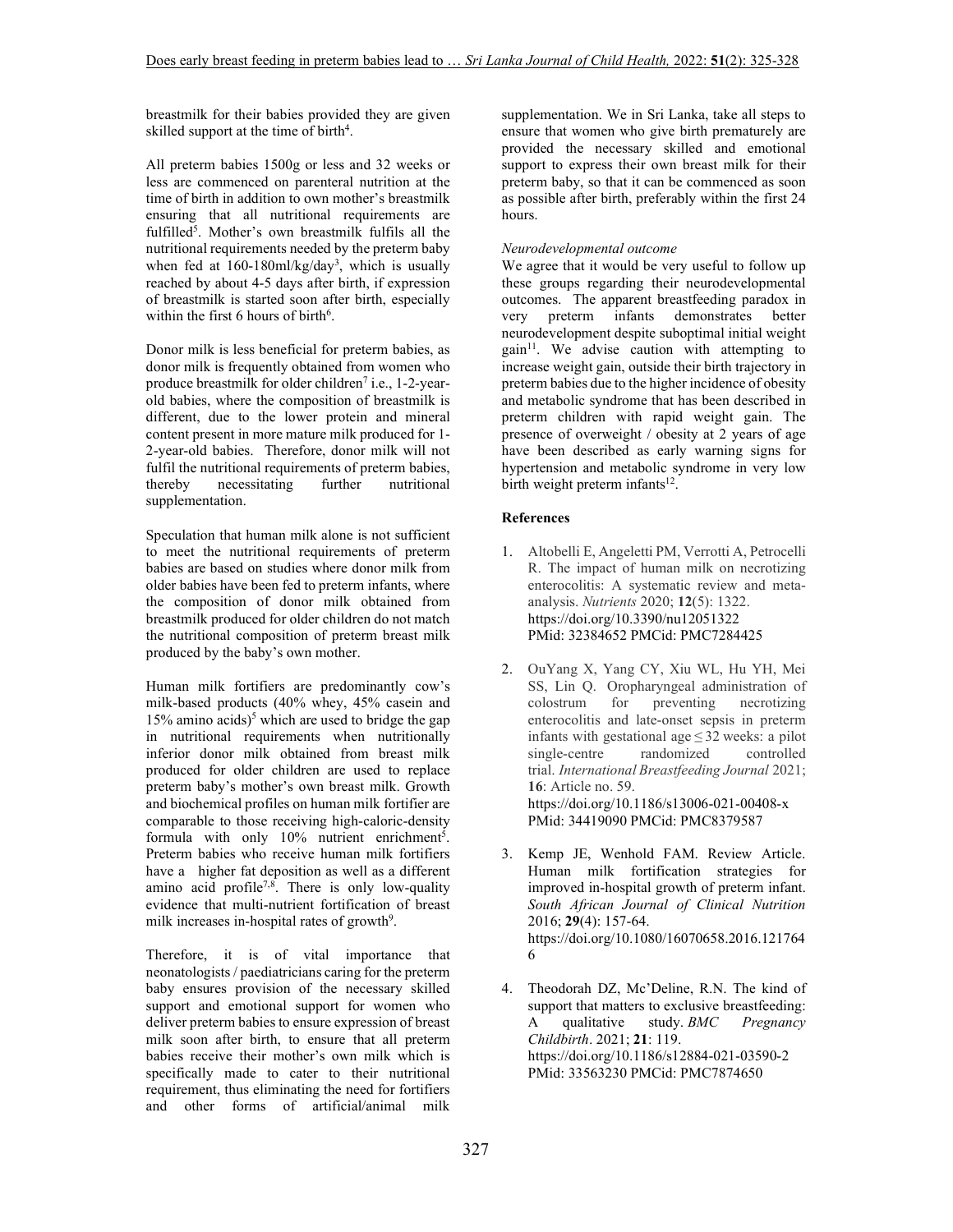breastmilk for their babies provided they are given skilled support at the time of birth<sup>4</sup>.

All preterm babies 1500g or less and 32 weeks or less are commenced on parenteral nutrition at the time of birth in addition to own mother's breastmilk ensuring that all nutritional requirements are fulfilled<sup>5</sup>. Mother's own breastmilk fulfils all the nutritional requirements needed by the preterm baby when fed at 160-180ml/kg/day<sup>3</sup>, which is usually reached by about 4-5 days after birth, if expression of breastmilk is started soon after birth, especially within the first 6 hours of birth<sup>6</sup>.

Donor milk is less beneficial for preterm babies, as donor milk is frequently obtained from women who produce breastmilk for older children<sup>7</sup> i.e., 1-2-yearold babies, where the composition of breastmilk is different, due to the lower protein and mineral content present in more mature milk produced for 1- 2-year-old babies. Therefore, donor milk will not fulfil the nutritional requirements of preterm babies, thereby necessitating further nutritional supplementation.

Speculation that human milk alone is not sufficient to meet the nutritional requirements of preterm babies are based on studies where donor milk from older babies have been fed to preterm infants, where the composition of donor milk obtained from breastmilk produced for older children do not match the nutritional composition of preterm breast milk produced by the baby's own mother.

Human milk fortifiers are predominantly cow's milk-based products (40% whey, 45% casein and 15% amino acids)<sup>5</sup> which are used to bridge the gap in nutritional requirements when nutritionally inferior donor milk obtained from breast milk produced for older children are used to replace preterm baby's mother's own breast milk. Growth and biochemical profiles on human milk fortifier are comparable to those receiving high-caloric-density formula with only  $10\%$  nutrient enrichment<sup>5</sup>. Preterm babies who receive human milk fortifiers have a higher fat deposition as well as a different amino acid profile<sup>7,8</sup>. There is only low-quality evidence that multi-nutrient fortification of breast milk increases in-hospital rates of growth<sup>9</sup>.

Therefore, it is of vital importance that neonatologists / paediatricians caring for the preterm baby ensures provision of the necessary skilled support and emotional support for women who deliver preterm babies to ensure expression of breast milk soon after birth, to ensure that all preterm babies receive their mother's own milk which is specifically made to cater to their nutritional requirement, thus eliminating the need for fortifiers and other forms of artificial/animal milk

supplementation. We in Sri Lanka, take all steps to ensure that women who give birth prematurely are provided the necessary skilled and emotional support to express their own breast milk for their preterm baby, so that it can be commenced as soon as possible after birth, preferably within the first 24 hours.

## *Neurodevelopmental outcome*

We agree that it would be very useful to follow up these groups regarding their neurodevelopmental outcomes. The apparent breastfeeding paradox in<br>very preterm infants demonstrates better very preterm infants demonstrates better neurodevelopment despite suboptimal initial weight  $gain<sup>11</sup>$ . We advise caution with attempting to increase weight gain, outside their birth trajectory in preterm babies due to the higher incidence of obesity and metabolic syndrome that has been described in preterm children with rapid weight gain. The presence of overweight / obesity at 2 years of age have been described as early warning signs for hypertension and metabolic syndrome in very low birth weight preterm infants<sup>12</sup>.

## **References**

- 1. Altobelli E, Angeletti PM, Verrotti A, Petrocelli R. The impact of human milk on necrotizing enterocolitis: A systematic review and metaanalysis. *Nutrients* 2020; **12**(5): 1322. https://doi.org/10.3390/nu12051322 PMid: 32384652 PMCid: PMC7284425
- 2. OuYang X, Yang CY, Xiu WL, Hu YH, Mei SS, Lin Q. Oropharyngeal administration of colostrum for preventing necrotizing enterocolitis and late-onset sepsis in preterm infants with gestational age $\leq$  32 weeks: a pilot single-centre randomized controlled trial. *International Breastfeeding Journal* 2021; **16**: Article no. 59. https://doi.org/10.1186/s13006-021-00408-x PMid: 34419090 PMCid: PMC8379587
- 3. Kemp JE, Wenhold FAM. Review Article. Human milk fortification strategies for improved in-hospital growth of preterm infant. *South African Journal of Clinical Nutrition* 2016; **29**(4): 157-64. https://doi.org/10.1080/16070658.2016.121764 6
- 4. Theodorah DZ, Mc'Deline, R.N. The kind of support that matters to exclusive breastfeeding: A qualitative study. *BMC Pregnancy Childbirth*. 2021; **21**: 119. https://doi.org/10.1186/s12884-021-03590-2 PMid: 33563230 PMCid: PMC7874650